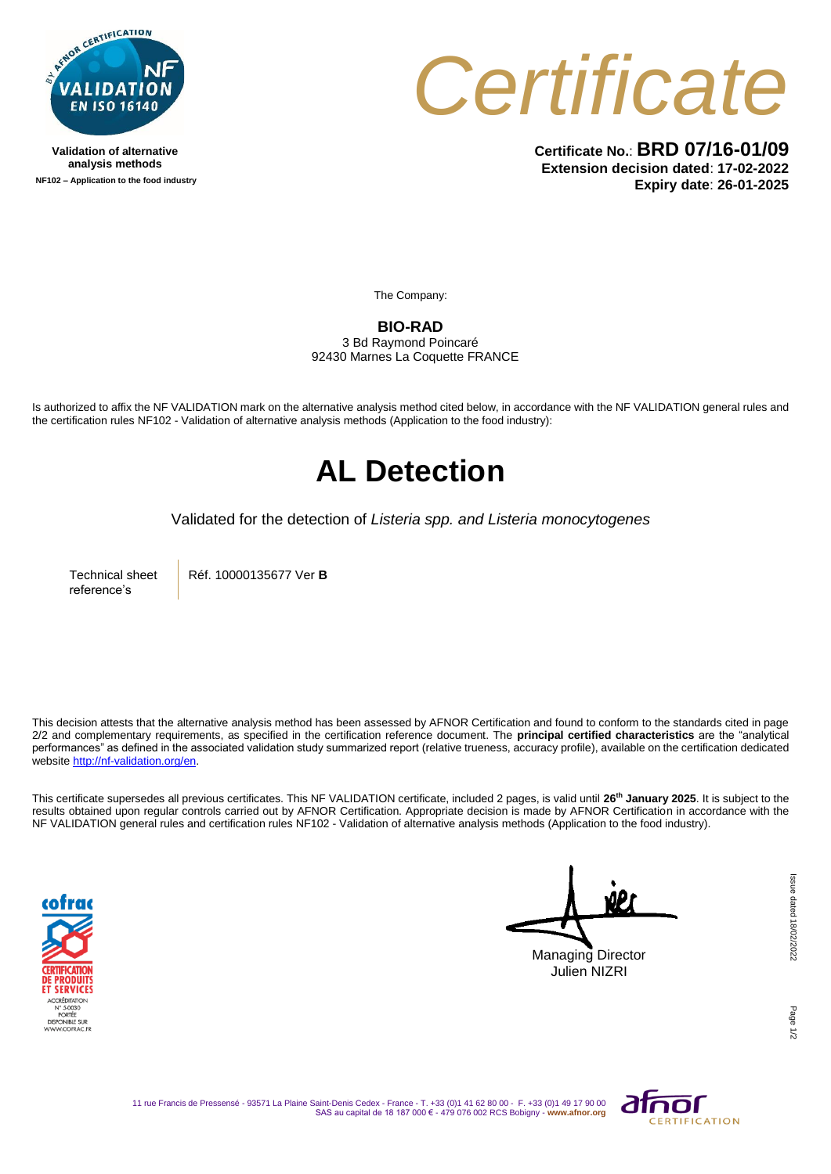

**Validation of alternative analysis methods NF102 – Application to the food industry**



**Certificate No.**: **BRD 07/16-01/09 Extension decision dated**: **17-02-2022 Expiry date**: **26-01-2025**

The Company:

**BIO-RAD** 

3 Bd Raymond Poincaré 92430 Marnes La Coquette FRANCE

Is authorized to affix the NF VALIDATION mark on the alternative analysis method cited below, in accordance with the NF VALIDATION general rules and the certification rules NF102 - Validation of alternative analysis methods (Application to the food industry):

## **AL Detection**

Validated for the detection of *Listeria spp. and Listeria monocytogenes*

Technical sheet reference's

Réf. 10000135677 Ver **B**

This decision attests that the alternative analysis method has been assessed by AFNOR Certification and found to conform to the standards cited in page 2/2 and complementary requirements, as specified in the certification reference document. The **principal certified characteristics** are the "analytical performances" as defined in the associated validation study summarized report (relative trueness, accuracy profile), available on the certification dedicated websit[e http://nf-validation.org/en.](http://nf-validation.org/en)

This certificate supersedes all previous certificates. This NF VALIDATION certificate, included 2 pages, is valid until **26th January 2025**. It is subject to the results obtained upon regular controls carried out by AFNOR Certification. Appropriate decision is made by AFNOR Certification in accordance with the NF VALIDATION general rules and certification rules NF102 - Validation of alternative analysis methods (Application to the food industry).



Managing Director Julien NIZRI

Page